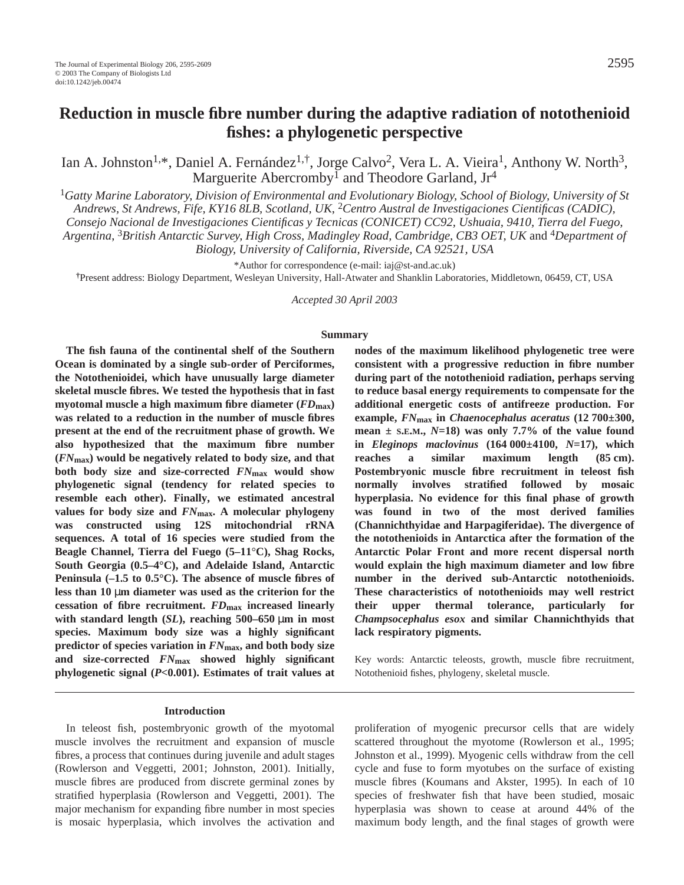# **Reduction in muscle fibre number during the adaptive radiation of notothenioid fishes: a phylogenetic perspective**

Ian A. Johnston<sup>1,\*</sup>, Daniel A. Fernández<sup>1,†</sup>, Jorge Calvo<sup>2</sup>, Vera L. A. Vieira<sup>1</sup>, Anthony W. North<sup>3</sup>, Marguerite Abercromby<sup>1</sup> and Theodore Garland,  $Jr^4$ 

<sup>1</sup>*Gatty Marine Laboratory, Division of Environmental and Evolutionary Biology, School of Biology, University of St Andrews, St Andrews, Fife, KY16 8LB, Scotland, UK*, 2*Centro Austral de Investigaciones Cientificas (CADIC),*

*Consejo Nacional de Investigaciones Cientificas y Tecnicas (CONICET) CC92, Ushuaia, 9410, Tierra del Fuego,*

*Argentina*, 3*British Antarctic Survey, High Cross, Madingley Road, Cambridge, CB3 OET, UK* and 4*Department of*

*Biology, University of California, Riverside, CA 92521, USA*

\*Author for correspondence (e-mail: iaj@st-and.ac.uk)

**†**Present address: Biology Department, Wesleyan University, Hall-Atwater and Shanklin Laboratories, Middletown, 06459, CT, USA

*Accepted 30 April 2003* 

#### **Summary**

**The fish fauna of the continental shelf of the Southern Ocean is dominated by a single sub-order of Perciformes, the Notothenioidei, which have unusually large diameter skeletal muscle fibres. We tested the hypothesis that in fast myotomal muscle a high maximum fibre diameter (***FD***max) was related to a reduction in the number of muscle fibres present at the end of the recruitment phase of growth. We also hypothesized that the maximum fibre number (***FN***max) would be negatively related to body size, and that both body size and size-corrected** *FN***max would show phylogenetic signal (tendency for related species to resemble each other). Finally, we estimated ancestral values for body size and** *FN***max. A molecular phylogeny was constructed using 12S mitochondrial rRNA sequences. A total of 16 species were studied from the Beagle Channel, Tierra del Fuego (5–11**°**C), Shag Rocks, South Georgia (0.5–4°C), and Adelaide Island, Antarctic Peninsula (–1.5 to 0.5°C). The absence of muscle fibres of** less than 10 µm diameter was used as the criterion for the **cessation of fibre recruitment.** *FD***max increased linearly** with standard length  $(SL)$ , reaching 500–650  $\mu$ m in most **species. Maximum body size was a highly significant predictor of species variation in** *FN***max, and both body size and size-corrected** *FN***max showed highly significant phylogenetic signal (***P***<0.001). Estimates of trait values at**

# **nodes of the maximum likelihood phylogenetic tree were consistent with a progressive reduction in fibre number during part of the notothenioid radiation, perhaps serving to reduce basal energy requirements to compensate for the additional energetic costs of antifreeze production. For example,** *FN***max in** *Chaenocephalus aceratus* **(12·700±300,** mean  $\pm$  S.E.M.,  $N=18$ ) was only 7.7% of the value found **in** *Eleginops maclovinus* **(164·000±4100,** *N***=17), which** reaches a similar maximum length (85 cm). **Postembryonic muscle fibre recruitment in teleost fish normally involves stratified followed by mosaic hyperplasia. No evidence for this final phase of growth was found in two of the most derived families (Channichthyidae and Harpagiferidae). The divergence of the notothenioids in Antarctica after the formation of the Antarctic Polar Front and more recent dispersal north would explain the high maximum diameter and low fibre number in the derived sub-Antarctic notothenioids. These characteristics of notothenioids may well restrict their upper thermal tolerance, particularly for** *Champsocephalus esox* **and similar Channichthyids that lack respiratory pigments.**

Key words: Antarctic teleosts, growth, muscle fibre recruitment, Notothenioid fishes, phylogeny, skeletal muscle.

#### **Introduction**

In teleost fish, postembryonic growth of the myotomal muscle involves the recruitment and expansion of muscle fibres, a process that continues during juvenile and adult stages (Rowlerson and Veggetti, 2001; Johnston, 2001). Initially, muscle fibres are produced from discrete germinal zones by stratified hyperplasia (Rowlerson and Veggetti, 2001). The major mechanism for expanding fibre number in most species is mosaic hyperplasia, which involves the activation and

proliferation of myogenic precursor cells that are widely scattered throughout the myotome (Rowlerson et al., 1995; Johnston et al., 1999). Myogenic cells withdraw from the cell cycle and fuse to form myotubes on the surface of existing muscle fibres (Koumans and Akster, 1995). In each of 10 species of freshwater fish that have been studied, mosaic hyperplasia was shown to cease at around 44% of the maximum body length, and the final stages of growth were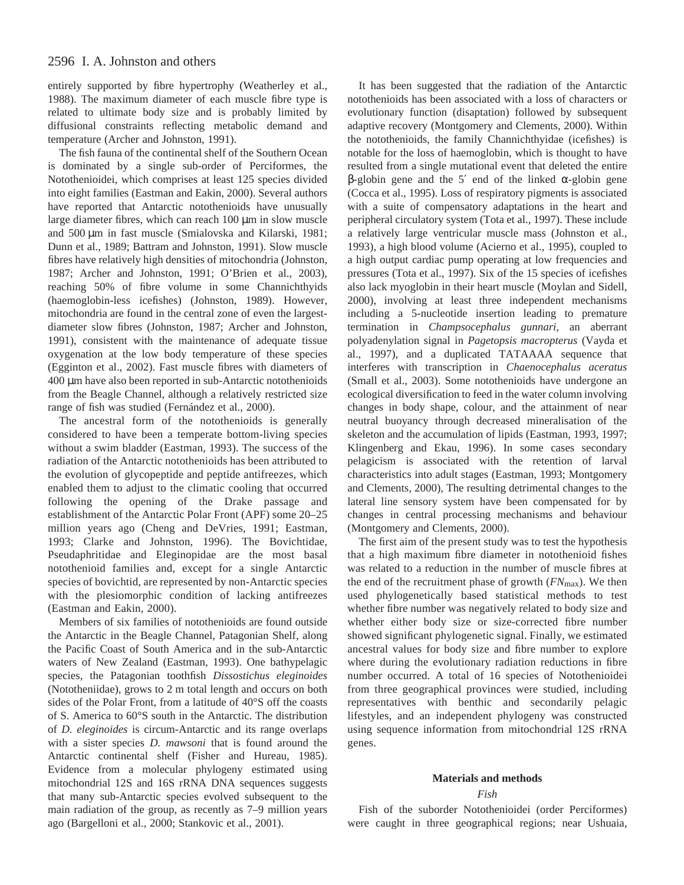entirely supported by fibre hypertrophy (Weatherley et al., 1988). The maximum diameter of each muscle fibre type is related to ultimate body size and is probably limited by diffusional constraints reflecting metabolic demand and temperature (Archer and Johnston, 1991).

The fish fauna of the continental shelf of the Southern Ocean is dominated by a single sub-order of Perciformes, the Notothenioidei, which comprises at least 125 species divided into eight families (Eastman and Eakin, 2000). Several authors have reported that Antarctic notothenioids have unusually large diameter fibres, which can reach  $100 \mu m$  in slow muscle and 500 µm in fast muscle (Smialovska and Kilarski, 1981; Dunn et al., 1989; Battram and Johnston, 1991). Slow muscle fibres have relatively high densities of mitochondria (Johnston, 1987; Archer and Johnston, 1991; O'Brien et al., 2003), reaching 50% of fibre volume in some Channichthyids (haemoglobin-less icefishes) (Johnston, 1989). However, mitochondria are found in the central zone of even the largestdiameter slow fibres (Johnston, 1987; Archer and Johnston, 1991), consistent with the maintenance of adequate tissue oxygenation at the low body temperature of these species (Egginton et al., 2002). Fast muscle fibres with diameters of 400 µm have also been reported in sub-Antarctic notothenioids from the Beagle Channel, although a relatively restricted size range of fish was studied (Fernández et al., 2000).

The ancestral form of the notothenioids is generally considered to have been a temperate bottom-living species without a swim bladder (Eastman, 1993). The success of the radiation of the Antarctic notothenioids has been attributed to the evolution of glycopeptide and peptide antifreezes, which enabled them to adjust to the climatic cooling that occurred following the opening of the Drake passage and establishment of the Antarctic Polar Front (APF) some 20–25 million years ago (Cheng and DeVries, 1991; Eastman, 1993; Clarke and Johnston, 1996). The Bovichtidae, Pseudaphritidae and Eleginopidae are the most basal notothenioid families and, except for a single Antarctic species of bovichtid, are represented by non-Antarctic species with the plesiomorphic condition of lacking antifreezes (Eastman and Eakin, 2000).

Members of six families of notothenioids are found outside the Antarctic in the Beagle Channel, Patagonian Shelf, along the Pacific Coast of South America and in the sub-Antarctic waters of New Zealand (Eastman, 1993). One bathypelagic species, the Patagonian toothfish *Dissostichus eleginoides* (Nototheniidae), grows to  $2 \text{ m}$  total length and occurs on both sides of the Polar Front, from a latitude of 40°S off the coasts of S. America to 60°S south in the Antarctic. The distribution of *D. eleginoides* is circum-Antarctic and its range overlaps with a sister species *D. mawsoni* that is found around the Antarctic continental shelf (Fisher and Hureau, 1985). Evidence from a molecular phylogeny estimated using mitochondrial 12S and 16S rRNA DNA sequences suggests that many sub-Antarctic species evolved subsequent to the main radiation of the group, as recently as 7–9 million years ago (Bargelloni et al., 2000; Stankovic et al., 2001).

It has been suggested that the radiation of the Antarctic notothenioids has been associated with a loss of characters or evolutionary function (disaptation) followed by subsequent adaptive recovery (Montgomery and Clements, 2000). Within the notothenioids, the family Channichthyidae (icefishes) is notable for the loss of haemoglobin, which is thought to have resulted from a single mutational event that deleted the entire β-globin gene and the 5′ end of the linked α-globin gene (Cocca et al., 1995). Loss of respiratory pigments is associated with a suite of compensatory adaptations in the heart and peripheral circulatory system (Tota et al., 1997). These include a relatively large ventricular muscle mass (Johnston et al., 1993), a high blood volume (Acierno et al., 1995), coupled to a high output cardiac pump operating at low frequencies and pressures (Tota et al., 1997). Six of the 15 species of icefishes also lack myoglobin in their heart muscle (Moylan and Sidell, 2000), involving at least three independent mechanisms including a 5-nucleotide insertion leading to premature termination in *Champsocephalus gunnari*, an aberrant polyadenylation signal in *Pagetopsis macropterus* (Vayda et al., 1997), and a duplicated TATAAAA sequence that interferes with transcription in *Chaenocephalus aceratus* (Small et al., 2003). Some notothenioids have undergone an ecological diversification to feed in the water column involving changes in body shape, colour, and the attainment of near neutral buoyancy through decreased mineralisation of the skeleton and the accumulation of lipids (Eastman, 1993, 1997; Klingenberg and Ekau, 1996). In some cases secondary pelagicism is associated with the retention of larval characteristics into adult stages (Eastman, 1993; Montgomery and Clements, 2000), The resulting detrimental changes to the lateral line sensory system have been compensated for by changes in central processing mechanisms and behaviour (Montgomery and Clements, 2000).

The first aim of the present study was to test the hypothesis that a high maximum fibre diameter in notothenioid fishes was related to a reduction in the number of muscle fibres at the end of the recruitment phase of growth (*FN*max). We then used phylogenetically based statistical methods to test whether fibre number was negatively related to body size and whether either body size or size-corrected fibre number showed significant phylogenetic signal. Finally, we estimated ancestral values for body size and fibre number to explore where during the evolutionary radiation reductions in fibre number occurred. A total of 16 species of Notothenioidei from three geographical provinces were studied, including representatives with benthic and secondarily pelagic lifestyles, and an independent phylogeny was constructed using sequence information from mitochondrial 12S rRNA genes.

#### **Materials and methods**

#### *Fish*

Fish of the suborder Notothenioidei (order Perciformes) were caught in three geographical regions; near Ushuaia,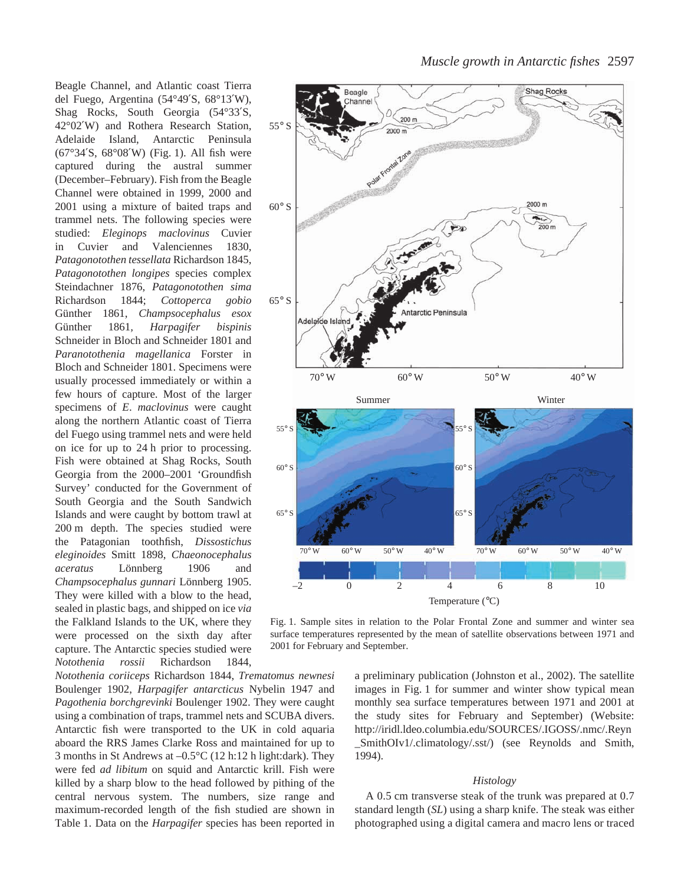Beagle Channel, and Atlantic coast Tierra del Fuego, Argentina (54°49′S, 68°13′W), Shag Rocks, South Georgia (54°33′S, 42°02′W) and Rothera Research Station, Adelaide Island, Antarctic Peninsula  $(67°34'S, 68°08'W)$  (Fig. 1). All fish were captured during the austral summer (December–February). Fish from the Beagle Channel were obtained in 1999, 2000 and 2001 using a mixture of baited traps and trammel nets. The following species were studied: *Eleginops maclovinus* Cuvier in Cuvier and Valenciennes 1830, *Patagonotothen tessellata* Richardson 1845, *Patagonotothen longipes* species complex Steindachner 1876, *Patagonotothen sima* Richardson 1844; *Cottoperca gobio* Günther 1861, *Champsocephalus esox* Günther 1861*, Harpagifer bispinis* Schneider in Bloch and Schneider 1801 and *Paranotothenia magellanica* Forster in Bloch and Schneider 1801. Specimens were usually processed immediately or within a few hours of capture. Most of the larger specimens of *E*. *maclovinus* were caught along the northern Atlantic coast of Tierra del Fuego using trammel nets and were held on ice for up to 24 h prior to processing. Fish were obtained at Shag Rocks, South Georgia from the 2000–2001 'Groundfish Survey' conducted for the Government of South Georgia and the South Sandwich Islands and were caught by bottom trawl at 200 m depth. The species studied were the Patagonian toothfish, *Dissostichus eleginoides* Smitt 1898, *Chaeonocephalus aceratus* Lönnberg 1906 and *Champsocephalus gunnari* Lönnberg 1905. They were killed with a blow to the head, sealed in plastic bags, and shipped on ice *via* the Falkland Islands to the UK, where they were processed on the sixth day after capture. The Antarctic species studied were *Notothenia rossii* Richardson 1844,

*Notothenia coriiceps* Richardson 1844, *Trematomus newnesi* Boulenger 1902, *Harpagifer antarcticus* Nybelin 1947 and *Pagothenia borchgrevinki* Boulenger 1902. They were caught using a combination of traps, trammel nets and SCUBA divers. Antarctic fish were transported to the UK in cold aquaria aboard the RRS James Clarke Ross and maintained for up to 3 months in St Andrews at  $-0.5^{\circ}$ C (12 h:12 h light:dark). They were fed *ad libitum* on squid and Antarctic krill. Fish were killed by a sharp blow to the head followed by pithing of the central nervous system. The numbers, size range and maximum-recorded length of the fish studied are shown in Table 1. Data on the *Harpagifer* species has been reported in



Fig. 1. Sample sites in relation to the Polar Frontal Zone and summer and winter sea surface temperatures represented by the mean of satellite observations between 1971 and 2001 for February and September.

a preliminary publication (Johnston et al., 2002). The satellite images in Fig. 1 for summer and winter show typical mean monthly sea surface temperatures between 1971 and 2001 at the study sites for February and September) (Website: http://iridl.ldeo.columbia.edu/SOURCES/.IGOSS/.nmc/.Reyn \_SmithOIv1/.climatology/.sst/) (see Reynolds and Smith, 1994).

#### *Histology*

A 0.5 cm transverse steak of the trunk was prepared at 0.7 standard length (*SL*) using a sharp knife. The steak was either photographed using a digital camera and macro lens or traced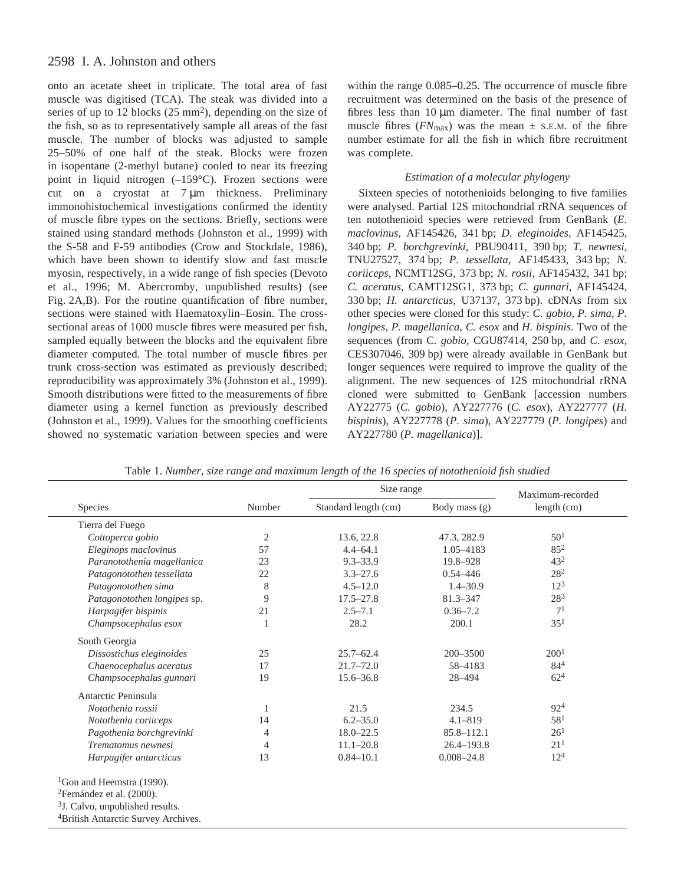onto an acetate sheet in triplicate. The total area of fast muscle was digitised (TCA). The steak was divided into a series of up to 12 blocks  $(25 \text{ mm}^2)$ , depending on the size of the fish, so as to representatively sample all areas of the fast muscle. The number of blocks was adjusted to sample 25–50% of one half of the steak. Blocks were frozen in isopentane (2-methyl butane) cooled to near its freezing point in liquid nitrogen (–159°C). Frozen sections were cut on a cryostat at  $7 \mu m$  thickness. Preliminary immonohistochemical investigations confirmed the identity of muscle fibre types on the sections. Briefly, sections were stained using standard methods (Johnston et al., 1999) with the S-58 and F-59 antibodies (Crow and Stockdale, 1986), which have been shown to identify slow and fast muscle myosin, respectively, in a wide range of fish species (Devoto et al., 1996; M. Abercromby, unpublished results) (see Fig. 2A,B). For the routine quantification of fibre number, sections were stained with Haematoxylin–Eosin. The crosssectional areas of 1000 muscle fibres were measured per fish, sampled equally between the blocks and the equivalent fibre diameter computed. The total number of muscle fibres per trunk cross-section was estimated as previously described; reproducibility was approximately 3% (Johnston et al., 1999). Smooth distributions were fitted to the measurements of fibre diameter using a kernel function as previously described (Johnston et al., 1999). Values for the smoothing coefficients showed no systematic variation between species and were

within the range 0.085–0.25. The occurrence of muscle fibre recruitment was determined on the basis of the presence of fibres less than  $10 \mu m$  diameter. The final number of fast muscle fibres  $(FN_{\text{max}})$  was the mean  $\pm$  s.e.m. of the fibre number estimate for all the fish in which fibre recruitment was complete.

# *Estimation of a molecular phylogeny*

Sixteen species of notothenioids belonging to five families were analysed. Partial 12S mitochondrial rRNA sequences of ten notothenioid species were retrieved from GenBank (*E. maclovinus*, AF145426, 341·bp; *D. eleginoides*, AF145425, 340·bp; *P. borchgrevinki*, PBU90411, 390·bp; *T. newnesi,* TNU27527, 374·bp; *P. tessellata*, AF145433, 343·bp; *N. coriiceps*, *NCMT12SG*, 373 bp; *N. rosii*, *AF145432*, 341 bp; *C. aceratus,* CAMT12SG1, 373·bp; *C. gunnari*, AF145424, 330 bp; *H. antarcticus*, U37137, 373 bp). cDNAs from six other species were cloned for this study: *C. gobio, P. sima, P. longipes, P. magellanica, C. esox* and *H. bispinis*. Two of the sequences (from C. gobio, CGU87414, 250 bp, and *C. esox,* CES307046, 309 bp) were already available in GenBank but longer sequences were required to improve the quality of the alignment. The new sequences of 12S mitochondrial rRNA cloned were submitted to GenBank [accession numbers AY22775 (*C. gobio*), AY227776 (*C. esox*), AY227777 (*H. bispinis*), AY227778 (*P. sima*), AY227779 (*P. longipes*) and AY227780 (*P. magellanica*)].

|                                             |                | Size range           | Maximum-recorded |                  |  |
|---------------------------------------------|----------------|----------------------|------------------|------------------|--|
| Species                                     | Number         | Standard length (cm) | Body mass $(g)$  | length (cm)      |  |
| Tierra del Fuego                            |                |                      |                  |                  |  |
| Cottoperca gobio                            | $\overline{2}$ | 13.6, 22.8           | 47.3, 282.9      | 50 <sup>1</sup>  |  |
| Eleginops maclovinus                        | 57             | $4.4 - 64.1$         | 1.05-4183        | $85^2$           |  |
| Paranotothenia magellanica                  | 23             | $9.3 - 33.9$         | 19.8-928         | 43 <sup>2</sup>  |  |
| Patagonotothen tessellata                   | 22             | $3.3 - 27.6$         | $0.54 - 446$     | $28^{2}$         |  |
| Patagonotothen sima                         | 8              | $4.5 - 12.0$         | $1.4 - 30.9$     | $12^3$           |  |
| Patagonotothen longipes sp.                 | 9              | $17.5 - 27.8$        | $81.3 - 347$     | $28^{3}$         |  |
| Harpagifer bispinis                         | 21             | $2.5 - 7.1$          | $0.36 - 7.2$     | 7 <sup>1</sup>   |  |
| Champsocephalus esox                        | 1              | 28.2                 | 200.1            | $35^{1}$         |  |
| South Georgia                               |                |                      |                  |                  |  |
| Dissostichus eleginoides                    | 25             | $25.7 - 62.4$        | $200 - 3500$     | 200 <sup>1</sup> |  |
| Chaenocephalus aceratus                     | 17             | $21.7 - 72.0$        | 58-4183          | 844              |  |
| Champsocephalus gunnari                     | 19             | $15.6 - 36.8$        | 28-494           | $62^{4}$         |  |
| Antarctic Peninsula                         |                |                      |                  |                  |  |
| Notothenia rossii                           | 1              | 21.5                 | 234.5            | 924              |  |
| Notothenia coriiceps                        | 14             | $6.2 - 35.0$         | $4.1 - 819$      | 58 <sup>1</sup>  |  |
| Pagothenia borchgrevinki                    | 4              | $18.0 - 22.5$        | $85.8 - 112.1$   | 26 <sup>1</sup>  |  |
| Trematomus newnesi                          | 4              | $11.1 - 20.8$        | $26.4 - 193.8$   | 21 <sup>1</sup>  |  |
| Harpagifer antarcticus                      | 13             | $0.84 - 10.1$        | $0.008 - 24.8$   | $12^{4}$         |  |
| <sup>1</sup> Gon and Heemstra (1990).       |                |                      |                  |                  |  |
| <sup>2</sup> Fernández et al. (2000).       |                |                      |                  |                  |  |
|                                             |                |                      |                  |                  |  |
| <sup>3</sup> J. Calvo, unpublished results. |                |                      |                  |                  |  |

Table 1. *Number, size range and maximum length of the 16 species of notothenioid fish studied*

4British Antarctic Survey Archives.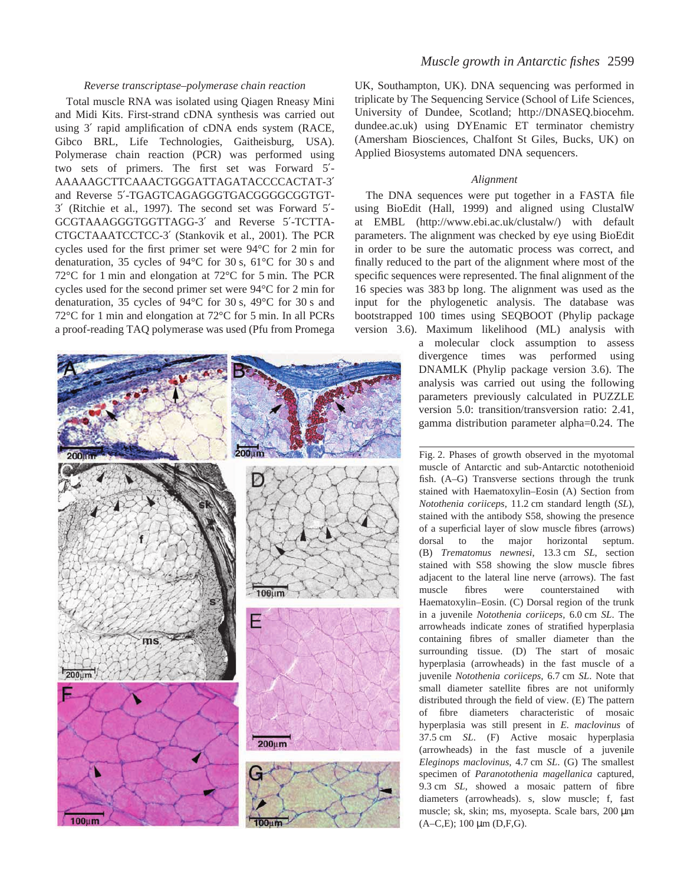# *Reverse transcriptase–polymerase chain reaction*

Total muscle RNA was isolated using Qiagen Rneasy Mini and Midi Kits. First-strand cDNA synthesis was carried out using 3′ rapid amplification of cDNA ends system (RACE, Gibco BRL, Life Technologies, Gaitheisburg, USA). Polymerase chain reaction (PCR) was performed using two sets of primers. The first set was Forward 5′- AAAAAGCTTCAAACTGGGATTAGATACCCCACTAT-3′ and Reverse 5′-TGAGTCAGAGGGTGACGGGGCGGTGT-3′ (Ritchie et al., 1997). The second set was Forward 5′- GCGTAAAGGGTGGTTAGG-3′ and Reverse 5′-TCTTA-CTGCTAAATCCTCC-3′ (Stankovik et al., 2001). The PCR cycles used for the first primer set were  $94^{\circ}$ C for 2 min for denaturation, 35 cycles of 94 $\degree$ C for 30 s, 61 $\degree$ C for 30 s and 72 $\degree$ C for 1 min and elongation at 72 $\degree$ C for 5 min. The PCR cycles used for the second primer set were  $94^{\circ}$ C for 2 min for denaturation, 35 cycles of 94 $\degree$ C for 30 s, 49 $\degree$ C for 30 s and 72 $\degree$ C for 1 min and elongation at 72 $\degree$ C for 5 min. In all PCRs a proof-reading TAQ polymerase was used (Pfu from Promega



# *Muscle growth in Antarctic fishes* 2599

UK, Southampton, UK). DNA sequencing was performed in triplicate by The Sequencing Service (School of Life Sciences, University of Dundee, Scotland; http://DNASEQ.biocehm. dundee.ac.uk) using DYEnamic ET terminator chemistry (Amersham Biosciences, Chalfont St Giles, Bucks, UK) on Applied Biosystems automated DNA sequencers.

#### *Alignment*

The DNA sequences were put together in a FASTA file using BioEdit (Hall, 1999) and aligned using ClustalW at EMBL (http://www.ebi.ac.uk/clustalw/) with default parameters. The alignment was checked by eye using BioEdit in order to be sure the automatic process was correct, and finally reduced to the part of the alignment where most of the specific sequences were represented. The final alignment of the 16 species was 383·bp long. The alignment was used as the input for the phylogenetic analysis. The database was bootstrapped 100 times using SEQBOOT (Phylip package version 3.6). Maximum likelihood (ML) analysis with

> a molecular clock assumption to assess divergence times was performed using DNAMLK (Phylip package version 3.6). The analysis was carried out using the following parameters previously calculated in PUZZLE version 5.0: transition/transversion ratio: 2.41, gamma distribution parameter alpha=0.24. The

> Fig. 2. Phases of growth observed in the myotomal muscle of Antarctic and sub-Antarctic notothenioid fish. (A–G) Transverse sections through the trunk stained with Haematoxylin–Eosin (A) Section from *Notothenia coriiceps*, 11.2·cm standard length (*SL*), stained with the antibody S58, showing the presence of a superficial layer of slow muscle fibres (arrows) dorsal to the major horizontal septum. (B) *Trematomus newnesi*, 13.3·cm *SL*, section stained with S58 showing the slow muscle fibres adjacent to the lateral line nerve (arrows). The fast muscle fibres were counterstained with Haematoxylin–Eosin. (C) Dorsal region of the trunk in a juvenile *Notothenia coriiceps*, 6.0 cm *SL*. The arrowheads indicate zones of stratified hyperplasia containing fibres of smaller diameter than the surrounding tissue. (D) The start of mosaic hyperplasia (arrowheads) in the fast muscle of a juvenile *Notothenia coriiceps*, 6.7 cm *SL*. Note that small diameter satellite fibres are not uniformly distributed through the field of view. (E) The pattern of fibre diameters characteristic of mosaic hyperplasia was still present in *E. maclovinus* of 37.5 cm *SL*. (F) Active mosaic hyperplasia (arrowheads) in the fast muscle of a juvenile *Eleginops maclovinus,* 4.7 cm *SL*. (G) The smallest specimen of *Paranotothenia magellanica* captured, 9.3 cm *SL*, showed a mosaic pattern of fibre diameters (arrowheads). s, slow muscle; f, fast muscle; sk, skin; ms, myosepta. Scale bars, 200  $\mu$ m  $(A-C,E)$ ; 100  $\mu$ m (D,F,G).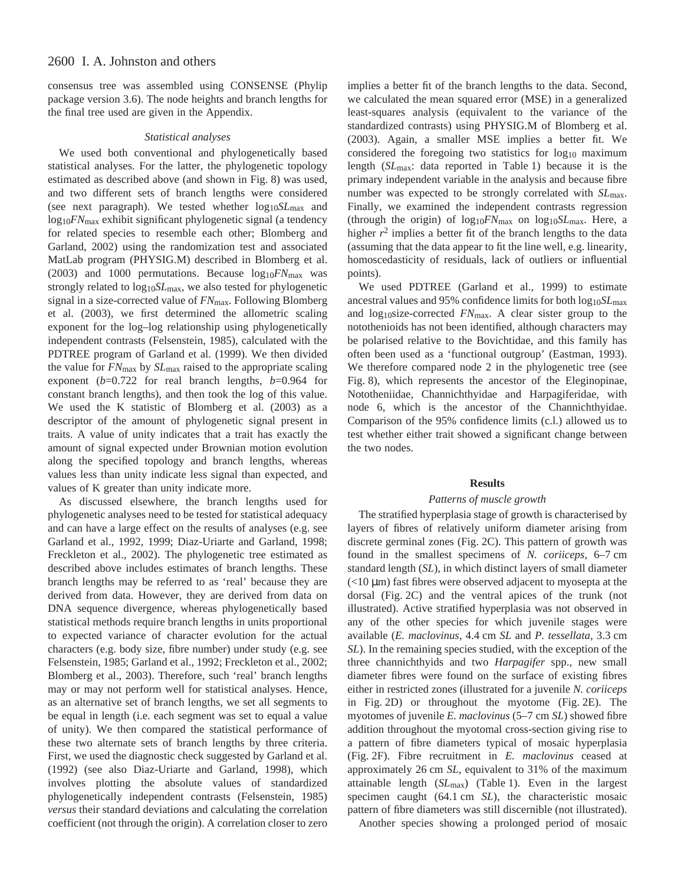consensus tree was assembled using CONSENSE (Phylip package version 3.6). The node heights and branch lengths for the final tree used are given in the Appendix.

### *Statistical analyses*

We used both conventional and phylogenetically based statistical analyses. For the latter, the phylogenetic topology estimated as described above (and shown in Fig. 8) was used, and two different sets of branch lengths were considered (see next paragraph). We tested whether log10*SL*max and log10*FN*max exhibit significant phylogenetic signal (a tendency for related species to resemble each other; Blomberg and Garland, 2002) using the randomization test and associated MatLab program (PHYSIG.M) described in Blomberg et al. (2003) and 1000 permutations. Because  $log_{10}$ *FN*<sub>max</sub> was strongly related to  $log_{10}SL_{\text{max}}$ , we also tested for phylogenetic signal in a size-corrected value of *FN*max. Following Blomberg et al. (2003), we first determined the allometric scaling exponent for the log–log relationship using phylogenetically independent contrasts (Felsenstein, 1985), calculated with the PDTREE program of Garland et al. (1999). We then divided the value for *FN*max by *SL*max raised to the appropriate scaling exponent (*b*=0.722 for real branch lengths, *b*=0.964 for constant branch lengths), and then took the log of this value. We used the K statistic of Blomberg et al. (2003) as a descriptor of the amount of phylogenetic signal present in traits. A value of unity indicates that a trait has exactly the amount of signal expected under Brownian motion evolution along the specified topology and branch lengths, whereas values less than unity indicate less signal than expected, and values of K greater than unity indicate more.

As discussed elsewhere, the branch lengths used for phylogenetic analyses need to be tested for statistical adequacy and can have a large effect on the results of analyses (e.g. see Garland et al., 1992, 1999; Diaz-Uriarte and Garland, 1998; Freckleton et al., 2002). The phylogenetic tree estimated as described above includes estimates of branch lengths. These branch lengths may be referred to as 'real' because they are derived from data. However, they are derived from data on DNA sequence divergence, whereas phylogenetically based statistical methods require branch lengths in units proportional to expected variance of character evolution for the actual characters (e.g. body size, fibre number) under study (e.g. see Felsenstein, 1985; Garland et al., 1992; Freckleton et al., 2002; Blomberg et al., 2003). Therefore, such 'real' branch lengths may or may not perform well for statistical analyses. Hence, as an alternative set of branch lengths, we set all segments to be equal in length (i.e. each segment was set to equal a value of unity). We then compared the statistical performance of these two alternate sets of branch lengths by three criteria. First, we used the diagnostic check suggested by Garland et al. (1992) (see also Diaz-Uriarte and Garland, 1998), which involves plotting the absolute values of standardized phylogenetically independent contrasts (Felsenstein, 1985) *versus* their standard deviations and calculating the correlation coefficient (not through the origin). A correlation closer to zero

implies a better fit of the branch lengths to the data. Second, we calculated the mean squared error (MSE) in a generalized least-squares analysis (equivalent to the variance of the standardized contrasts) using PHYSIG.M of Blomberg et al. (2003). Again, a smaller MSE implies a better fit. We considered the foregoing two statistics for log<sub>10</sub> maximum length (*SL*<sub>max</sub>: data reported in Table 1) because it is the primary independent variable in the analysis and because fibre number was expected to be strongly correlated with *SL*max. Finally, we examined the independent contrasts regression (through the origin) of log10*FN*max on log10*SL*max. Here, a higher  $r^2$  implies a better fit of the branch lengths to the data (assuming that the data appear to fit the line well, e.g. linearity, homoscedasticity of residuals, lack of outliers or influential points).

We used PDTREE (Garland et al., 1999) to estimate ancestral values and 95% confidence limits for both log10*SL*max and log<sub>10</sub>size-corrected *FN*<sub>max</sub>. A clear sister group to the notothenioids has not been identified, although characters may be polarised relative to the Bovichtidae, and this family has often been used as a 'functional outgroup' (Eastman, 1993). We therefore compared node 2 in the phylogenetic tree (see Fig. 8), which represents the ancestor of the Eleginopinae, Nototheniidae, Channichthyidae and Harpagiferidae, with node 6, which is the ancestor of the Channichthyidae. Comparison of the 95% confidence limits (c.l.) allowed us to test whether either trait showed a significant change between the two nodes.

#### **Results**

# *Patterns of muscle growth*

The stratified hyperplasia stage of growth is characterised by layers of fibres of relatively uniform diameter arising from discrete germinal zones (Fig. 2C). This pattern of growth was found in the smallest specimens of *N. coriiceps*, 6–7 cm standard length (*SL*), in which distinct layers of small diameter  $\left($  <10  $\mu$ m) fast fibres were observed adjacent to myosepta at the dorsal (Fig. 2C) and the ventral apices of the trunk (not illustrated). Active stratified hyperplasia was not observed in any of the other species for which juvenile stages were available (*E. maclovinus*, 4.4 cm *SL* and *P. tessellata*, 3.3 cm *SL*). In the remaining species studied, with the exception of the three channichthyids and two *Harpagifer* spp., new small diameter fibres were found on the surface of existing fibres either in restricted zones (illustrated for a juvenile *N. coriiceps* in Fig. 2D) or throughout the myotome (Fig. 2E). The myotomes of juvenile *E. maclovinus* (5–7 cm *SL*) showed fibre addition throughout the myotomal cross-section giving rise to a pattern of fibre diameters typical of mosaic hyperplasia (Fig. 2F). Fibre recruitment in *E. maclovinus* ceased at approximately 26 cm *SL*, equivalent to 31% of the maximum attainable length (*SL*<sub>max</sub>) (Table 1). Even in the largest specimen caught (64.1 cm *SL*), the characteristic mosaic pattern of fibre diameters was still discernible (not illustrated).

Another species showing a prolonged period of mosaic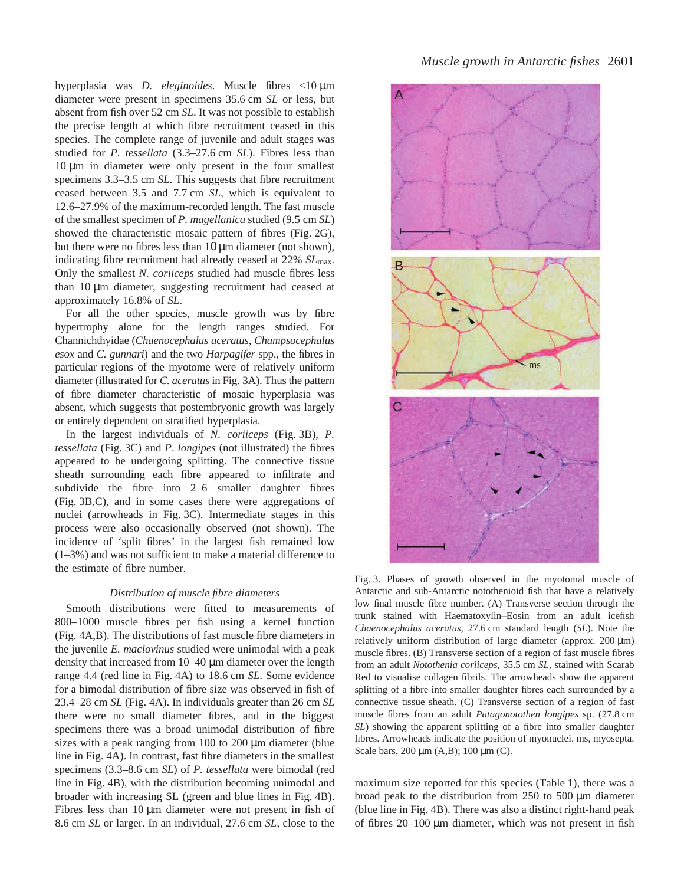hyperplasia was *D. eleginoides*. Muscle fibres <10  $\mu$ m diameter were present in specimens 35.6 cm *SL* or less, but absent from fish over 52 cm *SL*. It was not possible to establish the precise length at which fibre recruitment ceased in this species. The complete range of juvenile and adult stages was studied for *P. tessellata* (3.3–27.6 cm *SL*). Fibres less than  $10 \mu m$  in diameter were only present in the four smallest specimens 3.3–3.5 cm *SL*. This suggests that fibre recruitment ceased between 3.5 and 7.7 cm *SL*, which is equivalent to 12.6–27.9% of the maximum-recorded length. The fast muscle of the smallest specimen of *P. magellanica* studied (9.5 cm *SL*) showed the characteristic mosaic pattern of fibres (Fig. 2G), but there were no fibres less than  $10 \mu m$  diameter (not shown), indicating fibre recruitment had already ceased at 22% *SL*max. Only the smallest *N. coriiceps* studied had muscle fibres less than  $10 \mu m$  diameter, suggesting recruitment had ceased at approximately 16.8% of *SL*.

For all the other species, muscle growth was by fibre hypertrophy alone for the length ranges studied. For Channichthyidae (*Chaenocephalus aceratus*, *Champsocephalus esox* and *C. gunnari*) and the two *Harpagifer* spp., the fibres in particular regions of the myotome were of relatively uniform diameter (illustrated for *C. aceratus* in Fig. 3A). Thus the pattern of fibre diameter characteristic of mosaic hyperplasia was absent, which suggests that postembryonic growth was largely or entirely dependent on stratified hyperplasia.

In the largest individuals of *N. coriiceps* (Fig. 3B), *P. tessellata* (Fig. 3C) and *P. longipes* (not illustrated) the fibres appeared to be undergoing splitting. The connective tissue sheath surrounding each fibre appeared to infiltrate and subdivide the fibre into 2–6 smaller daughter fibres (Fig. 3B,C), and in some cases there were aggregations of nuclei (arrowheads in Fig. 3C). Intermediate stages in this process were also occasionally observed (not shown). The incidence of 'split fibres' in the largest fish remained low (1–3%) and was not sufficient to make a material difference to the estimate of fibre number.

### *Distribution of muscle fibre diameters*

Smooth distributions were fitted to measurements of 800–1000 muscle fibres per fish using a kernel function (Fig. 4A,B). The distributions of fast muscle fibre diameters in the juvenile *E. maclovinus* studied were unimodal with a peak density that increased from  $10-40~\mu$ m diameter over the length range 4.4 (red line in Fig. 4A) to 18.6 cm *SL*. Some evidence for a bimodal distribution of fibre size was observed in fish of 23.4–28 cm *SL* (Fig. 4A). In individuals greater than 26 cm *SL* there were no small diameter fibres, and in the biggest specimens there was a broad unimodal distribution of fibre sizes with a peak ranging from  $100$  to  $200 \mu m$  diameter (blue line in Fig. 4A). In contrast, fast fibre diameters in the smallest specimens (3.3–8.6 cm *SL*) of *P. tessellata* were bimodal (red line in Fig. 4B), with the distribution becoming unimodal and broader with increasing SL (green and blue lines in Fig. 4B). Fibres less than  $10 \mu m$  diameter were not present in fish of 8.6 cm *SL* or larger. In an individual, 27.6 cm *SL*, close to the



Fig. 3. Phases of growth observed in the myotomal muscle of Antarctic and sub-Antarctic notothenioid fish that have a relatively low final muscle fibre number. (A) Transverse section through the trunk stained with Haematoxylin–Eosin from an adult icefish *Chaenocephalus aceratus*, 27.6·cm standard length (*SL*). Note the relatively uniform distribution of large diameter (approx.  $200 \mu m$ ) muscle fibres. (B) Transverse section of a region of fast muscle fibres from an adult *Notothenia coriiceps*, 35.5 cm *SL*, stained with Scarab Red to visualise collagen fibrils. The arrowheads show the apparent splitting of a fibre into smaller daughter fibres each surrounded by a connective tissue sheath. (C) Transverse section of a region of fast muscle fibres from an adult *Patagonotothen longipes* sp. (27.8 cm *SL*) showing the apparent splitting of a fibre into smaller daughter fibres. Arrowheads indicate the position of myonuclei. ms, myosepta. Scale bars,  $200 \mu m$  (A,B);  $100 \mu m$  (C).

maximum size reported for this species (Table 1), there was a broad peak to the distribution from  $250$  to  $500 \mu m$  diameter (blue line in Fig. 4B). There was also a distinct right-hand peak of fibres  $20-100 \mu m$  diameter, which was not present in fish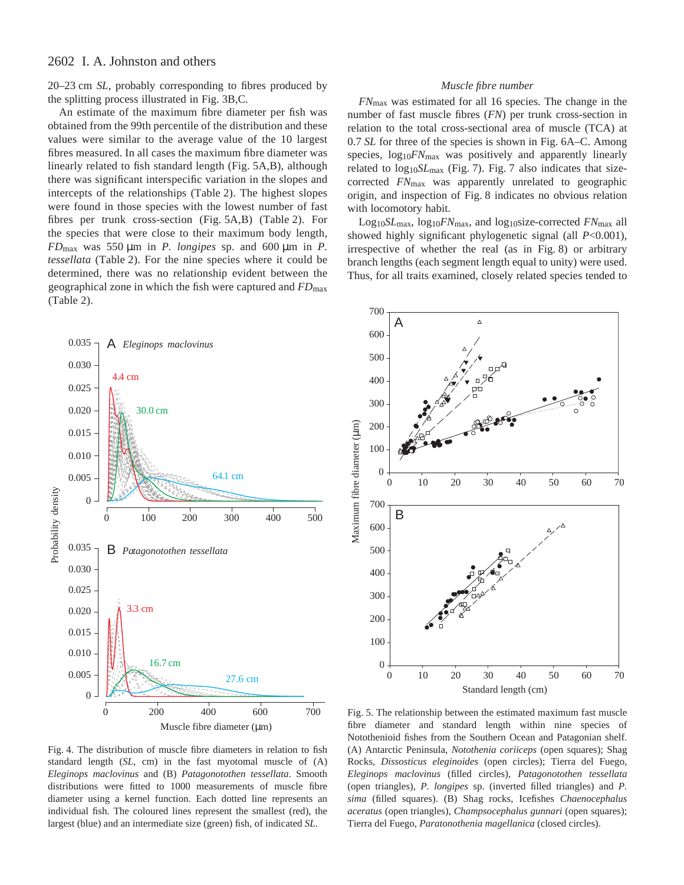# 2602 I. A. Johnston and others

20–23 cm *SL*, probably corresponding to fibres produced by the splitting process illustrated in Fig. 3B, C.

An estimate of the maximum fibre diameter per fish was obtained from the 99th percentile of the distribution and these values were similar to the average value of the 10 largest fibres measured. In all cases the maximum fibre diameter was linearly related to fish standard length (Fig. 5A,B), although there was significant interspecific variation in the slopes and intercepts of the relationships (Table 2). The highest slopes were found in those species with the lowest number of fast fibres per trunk cross-section (Fig.  $5A,B$ ) (Table 2). For the species that were close to their maximum body length,  $FD_{\text{max}}$  was 550  $\mu$ m in *P. longipes* sp. and 600  $\mu$ m in *P. tessellata* (Table 2). For the nine species where it could be determined, there was no relationship evident between the geographical zone in which the fish were captured and *FD*max  $(Table 2)$ .



Fig. 4. The distribution of muscle fibre diameters in relation to fish standard length (*SL*, cm) in the fast myotomal muscle of (A) *Eleginops maclovinus* and (B) *Patagonotothen tessellata*. Smooth distributions were fitted to 1000 measurements of muscle fibre diameter using a kernel function. Each dotted line represents an individual fish. The coloured lines represent the smallest (red), the largest (blue) and an intermediate size (green) fish, of indicated *SL*.

### *Muscle fibre number*

*FN*max was estimated for all 16 species. The change in the number of fast muscle fibres (*FN*) per trunk cross-section in relation to the total cross-sectional area of muscle (TCA) at 0.7 *SL* for three of the species is shown in Fig. 6A–C. Among species,  $log_{10}$ *FN*<sub>max</sub> was positively and apparently linearly related to log<sub>10</sub>SL<sub>max</sub> (Fig. 7). Fig. 7 also indicates that sizecorrected *FN*max was apparently unrelated to geographic origin, and inspection of Fig. 8 indicates no obvious relation with locomotory habit.

Log10*SL*max, log10*FN*max, and log10size-corrected *FN*max all showed highly significant phylogenetic signal (all *P*<0.001), irrespective of whether the real (as in Fig.  $8$ ) or arbitrary branch lengths (each segment length equal to unity) were used. Thus, for all traits examined, closely related species tended to



Fig. 5. The relationship between the estimated maximum fast muscle fibre diameter and standard length within nine species of Notothenioid fishes from the Southern Ocean and Patagonian shelf. (A) Antarctic Peninsula, *Notothenia coriiceps* (open squares); Shag Rocks, *Dissosticus eleginoides* (open circles); Tierra del Fuego, *Eleginops maclovinus* (filled circles), *Patagonotothen tessellata* (open triangles), *P. longipes* sp. (inverted filled triangles) and *P. sima* (filled squares). (B) Shag rocks, Icefishes *Chaenocephalus aceratus* (open triangles), *Champsocephalus gunnari* (open squares); Tierra del Fuego, *Paratonothenia magellanica* (closed circles).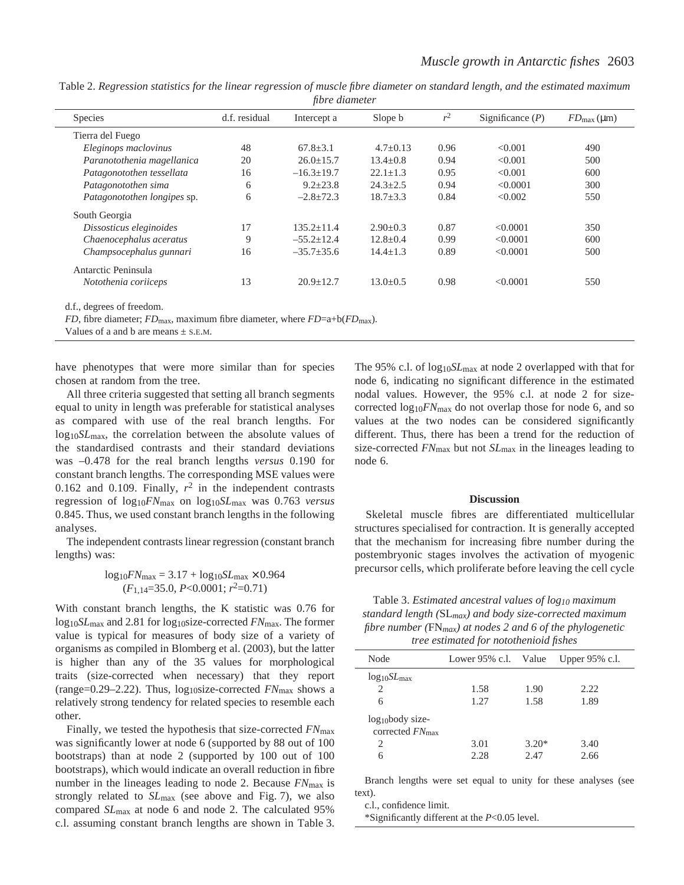|                                                                                                                                                                                                                                                                                                                                    |               | <i>T</i> <sup>o</sup> |                |       |                    |                                 |
|------------------------------------------------------------------------------------------------------------------------------------------------------------------------------------------------------------------------------------------------------------------------------------------------------------------------------------|---------------|-----------------------|----------------|-------|--------------------|---------------------------------|
| <b>Species</b>                                                                                                                                                                                                                                                                                                                     | d.f. residual | Intercept a           | Slope b        | $r^2$ | Significance $(P)$ | $FD_{\text{max}}(\mu \text{m})$ |
| Tierra del Fuego                                                                                                                                                                                                                                                                                                                   |               |                       |                |       |                    |                                 |
| Eleginops maclovinus                                                                                                                                                                                                                                                                                                               | 48            | $67.8 + 3.1$          | $4.7+0.13$     | 0.96  | < 0.001            | 490                             |
| Paranotothenia magellanica                                                                                                                                                                                                                                                                                                         | 20            | $26.0 \pm 15.7$       | $13.4 + 0.8$   | 0.94  | < 0.001            | 500                             |
| Patagonotothen tessellata                                                                                                                                                                                                                                                                                                          | 16            | $-16.3 \pm 19.7$      | $22.1 \pm 1.3$ | 0.95  | < 0.001            | 600                             |
| Patagonotothen sima                                                                                                                                                                                                                                                                                                                | 6             | $9.2 \pm 23.8$        | $24.3 \pm 2.5$ | 0.94  | < 0.0001           | 300                             |
| Patagonotothen longipes sp.                                                                                                                                                                                                                                                                                                        | 6             | $-2.8 \pm 72.3$       | $18.7 \pm 3.3$ | 0.84  | < 0.002            | 550                             |
| South Georgia                                                                                                                                                                                                                                                                                                                      |               |                       |                |       |                    |                                 |
| Dissosticus eleginoides                                                                                                                                                                                                                                                                                                            | 17            | $135.2 + 11.4$        | $2.90+0.3$     | 0.87  | < 0.0001           | 350                             |
| Chaenocephalus aceratus                                                                                                                                                                                                                                                                                                            | 9             | $-55.2 \pm 12.4$      | $12.8 \pm 0.4$ | 0.99  | < 0.0001           | 600                             |
| Champsocephalus gunnari                                                                                                                                                                                                                                                                                                            | 16            | $-35.7 \pm 35.6$      | $14.4 \pm 1.3$ | 0.89  | < 0.0001           | 500                             |
| Antarctic Peninsula                                                                                                                                                                                                                                                                                                                |               |                       |                |       |                    |                                 |
| Notothenia coriiceps                                                                                                                                                                                                                                                                                                               | 13            | $20.9 \pm 12.7$       | $13.0 \pm 0.5$ | 0.98  | < 0.0001           | 550                             |
| $\mathbf{1} \mathbf{1}$ $\mathbf{1}$ $\mathbf{1}$ $\mathbf{1}$ $\mathbf{1}$ $\mathbf{1}$ $\mathbf{1}$ $\mathbf{1}$ $\mathbf{1}$ $\mathbf{1}$ $\mathbf{1}$ $\mathbf{1}$ $\mathbf{1}$ $\mathbf{1}$ $\mathbf{1}$ $\mathbf{1}$ $\mathbf{1}$ $\mathbf{1}$ $\mathbf{1}$ $\mathbf{1}$ $\mathbf{1}$ $\mathbf{1}$ $\mathbf{1}$ $\mathbf{1}$ |               |                       |                |       |                    |                                 |

Table 2. Regression statistics for the linear regression of muscle fibre diameter on standard length, and the estimated maximum *fibre diameter* 

d.f., degrees of freedom.

*FD*, fibre diameter; *FD*<sub>max</sub>, maximum fibre diameter, where *FD*=a+b(*FD*<sub>max</sub>).

Values of a and b are means  $\pm$  S.E.M.

have phenotypes that were more similar than for species chosen at random from the tree.

All three criteria suggested that setting all branch segments equal to unity in length was preferable for statistical analyses as compared with use of the real branch lengths. For log10*SL*max, the correlation between the absolute values of the standardised contrasts and their standard deviations was –0.478 for the real branch lengths *versus* 0.190 for constant branch lengths. The corresponding MSE values were 0.162 and 0.109. Finally,  $r^2$  in the independent contrasts regression of log10*FN*max on log10*SL*max was 0.763 *versus* 0.845. Thus, we used constant branch lengths in the following analyses.

The independent contrasts linear regression (constant branch lengths) was:

# $log_{10}$ *FN*<sub>max</sub> = 3.17 +  $log_{10}SL$ <sub>max</sub> × 0.964  $(F_{1,14}=35.0, P<0.0001; r^2=0.71)$

With constant branch lengths, the K statistic was 0.76 for log10*SL*max and 2.81 for log10size-corrected *FN*max. The former value is typical for measures of body size of a variety of organisms as compiled in Blomberg et al. (2003), but the latter is higher than any of the 35 values for morphological traits (size-corrected when necessary) that they report (range=0.29–2.22). Thus, log10size-corrected *FN*max shows a relatively strong tendency for related species to resemble each other.

Finally, we tested the hypothesis that size-corrected *FN*max was significantly lower at node 6 (supported by 88 out of 100 bootstraps) than at node 2 (supported by 100 out of 100 bootstraps), which would indicate an overall reduction in fibre number in the lineages leading to node 2. Because *FN*max is strongly related to  $SL_{\text{max}}$  (see above and Fig. 7), we also compared *SL*max at node 6 and node 2. The calculated 95% c.l. assuming constant branch lengths are shown in Table 3. The 95% c.l. of log<sub>10</sub>SL<sub>max</sub> at node 2 overlapped with that for node 6, indicating no significant difference in the estimated nodal values. However, the 95% c.l. at node 2 for sizecorrected  $log_{10}$ *FN*<sub>max</sub> do not overlap those for node 6, and so values at the two nodes can be considered significantly different. Thus, there has been a trend for the reduction of size-corrected *FN*max but not *SL*max in the lineages leading to node 6.

### **Discussion**

Skeletal muscle fibres are differentiated multicellular structures specialised for contraction. It is generally accepted that the mechanism for increasing fibre number during the postembryonic stages involves the activation of myogenic precursor cells, which proliferate before leaving the cell cycle

Table·3. *Estimated ancestral values of log10 maximum standard length (*SL*max) and body size-corrected maximum fibre number (*FN*max) at nodes 2 and 6 of the phylogenetic tree estimated for notothenioid fishes*

| Node                                                 |      |         | Lower 95% c.l. Value Upper 95% c.l. |  |
|------------------------------------------------------|------|---------|-------------------------------------|--|
| $log_{10}SL_{\rm max}$                               |      |         |                                     |  |
| 2                                                    | 1.58 | 1.90    | 2.22                                |  |
| 6                                                    | 1.27 | 1.58    | 1.89                                |  |
| $log_{10}$ body size-<br>corrected $FN_{\text{max}}$ |      |         |                                     |  |
| 2                                                    | 3.01 | $3.20*$ | 3.40                                |  |
| 6                                                    | 2.28 | 2.47    | 2.66                                |  |
|                                                      |      |         |                                     |  |

Branch lengths were set equal to unity for these analyses (see text).

c.l., confidence limit.

\*Significantly different at the *P*<0.05 level.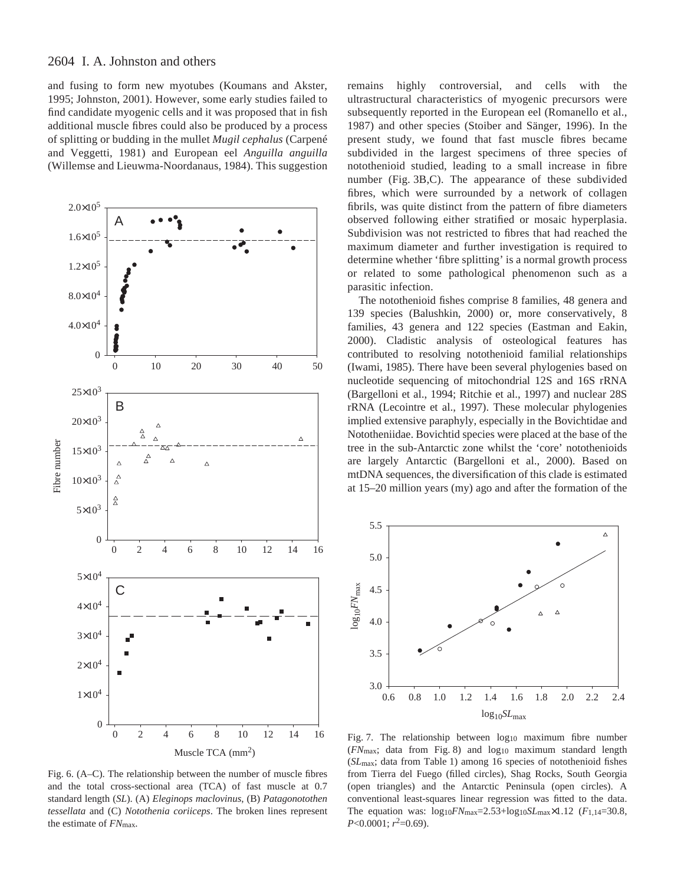and fusing to form new myotubes (Koumans and Akster, 1995; Johnston, 2001). However, some early studies failed to find candidate myogenic cells and it was proposed that in fish additional muscle fibres could also be produced by a process of splitting or budding in the mullet *Mugil cephalus* (Carpené and Veggetti, 1981) and European eel *Anguilla anguilla* (Willemse and Lieuwma-Noordanaus, 1984). This suggestion



Fig. 6. (A–C). The relationship between the number of muscle fibres and the total cross-sectional area (TCA) of fast muscle at 0.7 standard length (*SL*). (A) *Eleginops maclovinus*, (B) *Patagonotothen tessellata* and (C) *Notothenia coriiceps*. The broken lines represent the estimate of *FN*max.

remains highly controversial, and cells with the ultrastructural characteristics of myogenic precursors were subsequently reported in the European eel (Romanello et al., 1987) and other species (Stoiber and Sänger, 1996). In the present study, we found that fast muscle fibres became subdivided in the largest specimens of three species of notothenioid studied, leading to a small increase in fibre number (Fig. 3B,C). The appearance of these subdivided fibres, which were surrounded by a network of collagen fibrils, was quite distinct from the pattern of fibre diameters observed following either stratified or mosaic hyperplasia. Subdivision was not restricted to fibres that had reached the maximum diameter and further investigation is required to determine whether 'fibre splitting' is a normal growth process or related to some pathological phenomenon such as a parasitic infection.

The notothenioid fishes comprise 8 families, 48 genera and 139 species (Balushkin, 2000) or, more conservatively, 8 families, 43 genera and 122 species (Eastman and Eakin, 2000). Cladistic analysis of osteological features has contributed to resolving notothenioid familial relationships (Iwami, 1985). There have been several phylogenies based on nucleotide sequencing of mitochondrial 12S and 16S rRNA (Bargelloni et al., 1994; Ritchie et al., 1997) and nuclear 28S rRNA (Lecointre et al., 1997). These molecular phylogenies implied extensive paraphyly, especially in the Bovichtidae and Nototheniidae. Bovichtid species were placed at the base of the tree in the sub-Antarctic zone whilst the 'core' notothenioids are largely Antarctic (Bargelloni et al., 2000). Based on mtDNA sequences, the diversification of this clade is estimated at 15–20 million years (my) ago and after the formation of the



Fig. 7. The relationship between  $log_{10}$  maximum fibre number ( $FN$ <sub>max</sub>; data from Fig. 8) and log<sub>10</sub> maximum standard length (*SL*<sub>max</sub>; data from Table 1) among 16 species of notothenioid fishes from Tierra del Fuego (filled circles), Shag Rocks, South Georgia (open triangles) and the Antarctic Peninsula (open circles). A conventional least-squares linear regression was fitted to the data. The equation was:  $log_{10}FN_{\text{max}}=2.53+log_{10}SL_{\text{max}}\times1.12$  ( $F_{1,14}=30.8$ ,  $P<0.0001$ ;  $r^2=0.69$ ).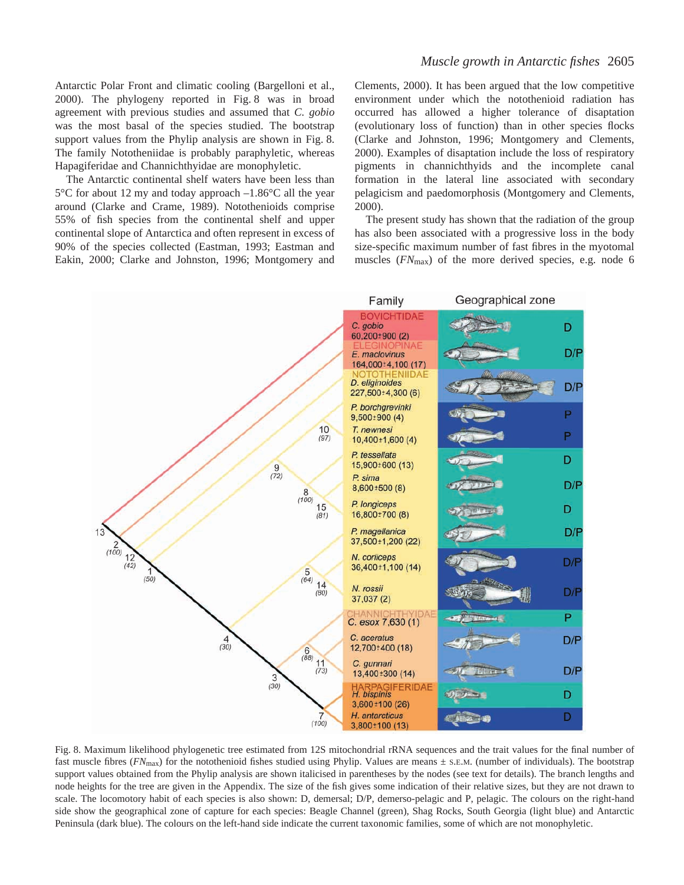Antarctic Polar Front and climatic cooling (Bargelloni et al., 2000). The phylogeny reported in Fig. 8 was in broad agreement with previous studies and assumed that *C. gobio* was the most basal of the species studied. The bootstrap support values from the Phylip analysis are shown in Fig. 8. The family Nototheniidae is probably paraphyletic, whereas Hapagiferidae and Channichthyidae are monophyletic.

The Antarctic continental shelf waters have been less than  $5^{\circ}$ C for about 12 my and today approach  $-1.86^{\circ}$ C all the year around (Clarke and Crame, 1989). Notothenioids comprise 55% of fish species from the continental shelf and upper continental slope of Antarctica and often represent in excess of 90% of the species collected (Eastman, 1993; Eastman and Eakin, 2000; Clarke and Johnston, 1996; Montgomery and Clements, 2000). It has been argued that the low competitive environment under which the notothenioid radiation has occurred has allowed a higher tolerance of disaptation (evolutionary loss of function) than in other species flocks (Clarke and Johnston, 1996; Montgomery and Clements, 2000). Examples of disaptation include the loss of respiratory pigments in channichthyids and the incomplete canal formation in the lateral line associated with secondary pelagicism and paedomorphosis (Montgomery and Clements, 2000).

The present study has shown that the radiation of the group has also been associated with a progressive loss in the body size-specific maximum number of fast fibres in the myotomal muscles (*FN*max) of the more derived species, e.g. node 6



Fig. 8. Maximum likelihood phylogenetic tree estimated from 12S mitochondrial rRNA sequences and the trait values for the final number of fast muscle fibres ( $FN_{\text{max}}$ ) for the notothenioid fishes studied using Phylip. Values are means  $\pm$  s.E.M. (number of individuals). The bootstrap support values obtained from the Phylip analysis are shown italicised in parentheses by the nodes (see text for details). The branch lengths and node heights for the tree are given in the Appendix. The size of the fish gives some indication of their relative sizes, but they are not drawn to scale. The locomotory habit of each species is also shown: D, demersal; D/P, demerso-pelagic and P, pelagic. The colours on the right-hand side show the geographical zone of capture for each species: Beagle Channel (green), Shag Rocks, South Georgia (light blue) and Antarctic Peninsula (dark blue). The colours on the left-hand side indicate the current taxonomic families, some of which are not monophyletic.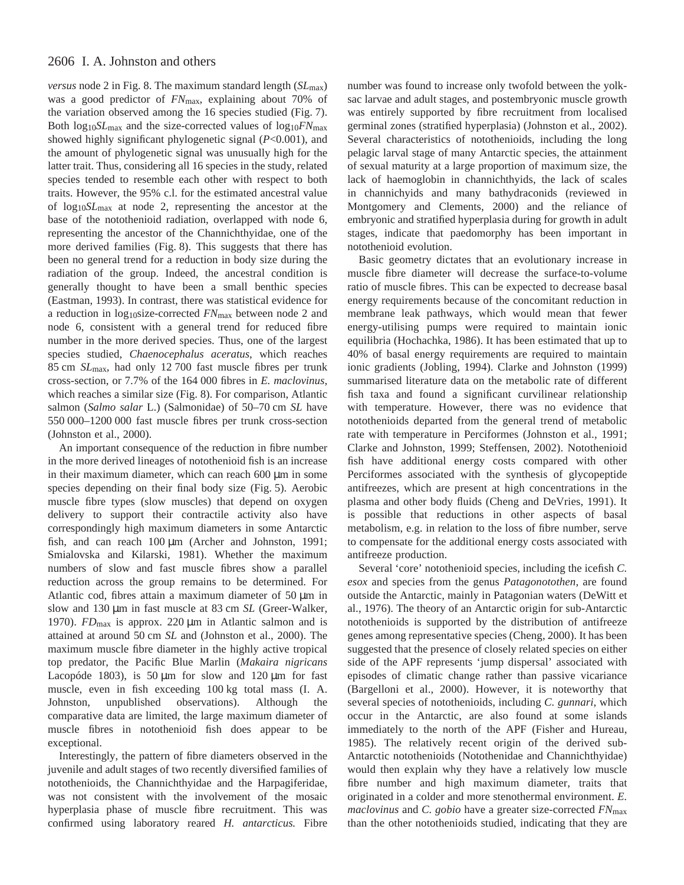# 2606 I. A. Johnston and others

*versus* node 2 in Fig. 8. The maximum standard length ( $SL<sub>max</sub>$ ) was a good predictor of *FN*max, explaining about 70% of the variation observed among the 16 species studied (Fig. 7). Both log10*SL*max and the size-corrected values of log10*FN*max showed highly significant phylogenetic signal (*P*<0.001), and the amount of phylogenetic signal was unusually high for the latter trait. Thus, considering all 16 species in the study, related species tended to resemble each other with respect to both traits. However, the 95% c.l. for the estimated ancestral value of log10*SL*max at node 2, representing the ancestor at the base of the notothenioid radiation, overlapped with node 6, representing the ancestor of the Channichthyidae, one of the more derived families (Fig. 8). This suggests that there has been no general trend for a reduction in body size during the radiation of the group. Indeed, the ancestral condition is generally thought to have been a small benthic species (Eastman, 1993). In contrast, there was statistical evidence for a reduction in log10size-corrected *FN*max between node 2 and node 6, consistent with a general trend for reduced fibre number in the more derived species. Thus, one of the largest species studied, *Chaenocephalus aceratus*, which reaches 85 cm *SL*<sub>max</sub>, had only 12 700 fast muscle fibres per trunk cross-section, or 7.7% of the 164·000 fibres in *E. maclovinus*, which reaches a similar size (Fig. 8). For comparison, Atlantic salmon (*Salmo salar* L.) (Salmonidae) of 50–70 cm *SL* have 550 000–1200 000 fast muscle fibres per trunk cross-section (Johnston et al., 2000).

An important consequence of the reduction in fibre number in the more derived lineages of notothenioid fish is an increase in their maximum diameter, which can reach  $600 \mu m$  in some species depending on their final body size (Fig. 5). Aerobic muscle fibre types (slow muscles) that depend on oxygen delivery to support their contractile activity also have correspondingly high maximum diameters in some Antarctic fish, and can reach  $100 \mu m$  (Archer and Johnston, 1991; Smialovska and Kilarski, 1981). Whether the maximum numbers of slow and fast muscle fibres show a parallel reduction across the group remains to be determined. For Atlantic cod, fibres attain a maximum diameter of  $50 \mu m$  in slow and 130 µm in fast muscle at 83 cm *SL* (Greer-Walker, 1970).  $FD_{\text{max}}$  is approx. 220  $\mu$ m in Atlantic salmon and is attained at around 50 cm *SL* and (Johnston et al., 2000). The maximum muscle fibre diameter in the highly active tropical top predator, the Pacific Blue Marlin (*Makaira nigricans* Lacopóde 1803), is 50  $\mu$ m for slow and 120  $\mu$ m for fast muscle, even in fish exceeding 100 kg total mass (I. A. Johnston, unpublished observations). Although the comparative data are limited, the large maximum diameter of muscle fibres in notothenioid fish does appear to be exceptional.

Interestingly, the pattern of fibre diameters observed in the juvenile and adult stages of two recently diversified families of notothenioids, the Channichthyidae and the Harpagiferidae, was not consistent with the involvement of the mosaic hyperplasia phase of muscle fibre recruitment. This was confirmed using laboratory reared *H. antarcticus.* Fibre

number was found to increase only twofold between the yolksac larvae and adult stages, and postembryonic muscle growth was entirely supported by fibre recruitment from localised germinal zones (stratified hyperplasia) (Johnston et al., 2002). Several characteristics of notothenioids, including the long pelagic larval stage of many Antarctic species, the attainment of sexual maturity at a large proportion of maximum size, the lack of haemoglobin in channichthyids, the lack of scales in channichyids and many bathydraconids (reviewed in Montgomery and Clements, 2000) and the reliance of embryonic and stratified hyperplasia during for growth in adult stages, indicate that paedomorphy has been important in notothenioid evolution.

Basic geometry dictates that an evolutionary increase in muscle fibre diameter will decrease the surface-to-volume ratio of muscle fibres. This can be expected to decrease basal energy requirements because of the concomitant reduction in membrane leak pathways, which would mean that fewer energy-utilising pumps were required to maintain ionic equilibria (Hochachka, 1986). It has been estimated that up to 40% of basal energy requirements are required to maintain ionic gradients (Jobling, 1994). Clarke and Johnston (1999) summarised literature data on the metabolic rate of different fish taxa and found a significant curvilinear relationship with temperature. However, there was no evidence that notothenioids departed from the general trend of metabolic rate with temperature in Perciformes (Johnston et al., 1991; Clarke and Johnston, 1999; Steffensen, 2002). Notothenioid fish have additional energy costs compared with other Perciformes associated with the synthesis of glycopeptide antifreezes, which are present at high concentrations in the plasma and other body fluids (Cheng and DeVries, 1991). It is possible that reductions in other aspects of basal metabolism, e.g. in relation to the loss of fibre number, serve to compensate for the additional energy costs associated with antifreeze production.

Several 'core' notothenioid species, including the icefish *C. esox* and species from the genus *Patagonotothen*, are found outside the Antarctic, mainly in Patagonian waters (DeWitt et al., 1976). The theory of an Antarctic origin for sub-Antarctic notothenioids is supported by the distribution of antifreeze genes among representative species (Cheng, 2000). It has been suggested that the presence of closely related species on either side of the APF represents 'jump dispersal' associated with episodes of climatic change rather than passive vicariance (Bargelloni et al., 2000). However, it is noteworthy that several species of notothenioids, including *C. gunnari*, which occur in the Antarctic, are also found at some islands immediately to the north of the APF (Fisher and Hureau, 1985). The relatively recent origin of the derived sub-Antarctic notothenioids (Notothenidae and Channichthyidae) would then explain why they have a relatively low muscle fibre number and high maximum diameter, traits that originated in a colder and more stenothermal environment. *E. maclovinus* and *C. gobio* have a greater size-corrected *FN*max than the other notothenioids studied, indicating that they are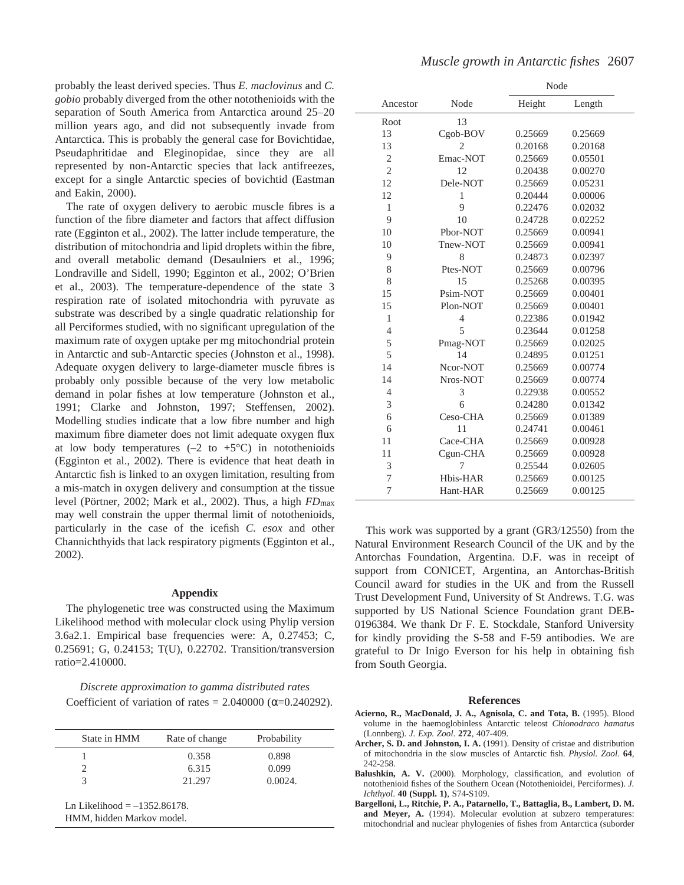probably the least derived species. Thus *E. maclovinus* and *C. gobio* probably diverged from the other notothenioids with the separation of South America from Antarctica around 25–20 million years ago, and did not subsequently invade from Antarctica. This is probably the general case for Bovichtidae, Pseudaphritidae and Eleginopidae, since they are all represented by non-Antarctic species that lack antifreezes, except for a single Antarctic species of bovichtid (Eastman and Eakin, 2000).

The rate of oxygen delivery to aerobic muscle fibres is a function of the fibre diameter and factors that affect diffusion rate (Egginton et al., 2002). The latter include temperature, the distribution of mitochondria and lipid droplets within the fibre, and overall metabolic demand (Desaulniers et al., 1996; Londraville and Sidell, 1990; Egginton et al., 2002; O'Brien et al., 2003). The temperature-dependence of the state 3 respiration rate of isolated mitochondria with pyruvate as substrate was described by a single quadratic relationship for all Perciformes studied, with no significant upregulation of the maximum rate of oxygen uptake per mg mitochondrial protein in Antarctic and sub-Antarctic species (Johnston et al., 1998). Adequate oxygen delivery to large-diameter muscle fibres is probably only possible because of the very low metabolic demand in polar fishes at low temperature (Johnston et al., 1991; Clarke and Johnston, 1997; Steffensen, 2002). Modelling studies indicate that a low fibre number and high maximum fibre diameter does not limit adequate oxygen flux at low body temperatures  $(-2 \text{ to } +5^{\circ}C)$  in notothenioids (Egginton et al., 2002). There is evidence that heat death in Antarctic fish is linked to an oxygen limitation, resulting from a mis-match in oxygen delivery and consumption at the tissue level (Pörtner, 2002; Mark et al., 2002). Thus, a high *FD*max may well constrain the upper thermal limit of notothenioids, particularly in the case of the icefish *C. esox* and other Channichthyids that lack respiratory pigments (Egginton et al., 2002).

### **Appendix**

The phylogenetic tree was constructed using the Maximum Likelihood method with molecular clock using Phylip version 3.6a2.1. Empirical base frequencies were: A, 0.27453; C, 0.25691; G, 0.24153; T(U), 0.22702. Transition/transversion ratio=2.410000.

*Discrete approximation to gamma distributed rates* Coefficient of variation of rates =  $2.040000$  ( $\alpha$ =0.240292).

| State in HMM | Rate of change | Probability |
|--------------|----------------|-------------|
|              | 0.358          | 0.898       |
|              | 6.315          | 0.099       |
|              | 21.297         | 0.0024.     |

Ln Likelihood  $=-1352.86178$ . HMM, hidden Markov model.

|                |                | Node    |         |
|----------------|----------------|---------|---------|
| Ancestor       | Node           | Height  | Length  |
| Root           | 13             |         |         |
| 13             | Cgob-BOV       | 0.25669 | 0.25669 |
| 13             | 2              | 0.20168 | 0.20168 |
| $\overline{2}$ | Emac-NOT       | 0.25669 | 0.05501 |
| $\overline{c}$ | 12             | 0.20438 | 0.00270 |
| 12             | Dele-NOT       | 0.25669 | 0.05231 |
| 12             | $\mathbf{1}$   | 0.20444 | 0.00006 |
| $\mathbf{1}$   | 9              | 0.22476 | 0.02032 |
| 9              | 10             | 0.24728 | 0.02252 |
| 10             | Pbor-NOT       | 0.25669 | 0.00941 |
| 10             | Tnew-NOT       | 0.25669 | 0.00941 |
| 9              | 8              | 0.24873 | 0.02397 |
| 8              | Ptes-NOT       | 0.25669 | 0.00796 |
| 8              | 15             | 0.25268 | 0.00395 |
| 15             | Psim-NOT       | 0.25669 | 0.00401 |
| 15             | Plon-NOT       | 0.25669 | 0.00401 |
| $\mathbf{1}$   | $\overline{4}$ | 0.22386 | 0.01942 |
| $\overline{4}$ | 5              | 0.23644 | 0.01258 |
| 5              | Pmag-NOT       | 0.25669 | 0.02025 |
| 5              | 14             | 0.24895 | 0.01251 |
| 14             | Ncor-NOT       | 0.25669 | 0.00774 |
| 14             | Nros-NOT       | 0.25669 | 0.00774 |
| 4              | 3              | 0.22938 | 0.00552 |
| 3              | 6              | 0.24280 | 0.01342 |
| 6              | Ceso-CHA       | 0.25669 | 0.01389 |
| 6              | 11             | 0.24741 | 0.00461 |
| 11             | Cace-CHA       | 0.25669 | 0.00928 |
| 11             | Cgun-CHA       | 0.25669 | 0.00928 |
| 3              | 7              | 0.25544 | 0.02605 |
| 7              | Hbis-HAR       | 0.25669 | 0.00125 |
| 7              | Hant-HAR       | 0.25669 | 0.00125 |

This work was supported by a grant (GR3/12550) from the Natural Environment Research Council of the UK and by the Antorchas Foundation, Argentina. D.F. was in receipt of support from CONICET, Argentina, an Antorchas-British Council award for studies in the UK and from the Russell Trust Development Fund, University of St Andrews. T.G. was supported by US National Science Foundation grant DEB-0196384. We thank Dr F. E. Stockdale, Stanford University for kindly providing the S-58 and F-59 antibodies. We are grateful to Dr Inigo Everson for his help in obtaining fish from South Georgia.

#### **References**

- **Acierno, R., MacDonald, J. A., Agnisola, C. and Tota, B.** (1995). Blood volume in the haemoglobinless Antarctic teleost *Chionodraco hamatus* (Lonnberg). *J. Exp. Zool*. **272**, 407-409.
- **Archer, S. D. and Johnston, I. A.** (1991). Density of cristae and distribution of mitochondria in the slow muscles of Antarctic fish. *Physiol. Zool*. **64**, 242-258.
- **Balushkin, A. V.** (2000). Morphology, classification, and evolution of notothenioid fishes of the Southern Ocean (Notothenioidei, Perciformes). *J. Ichthyol*. **40 (Suppl. 1)**, S74-S109.
- **Bargelloni, L., Ritchie, P. A., Patarnello, T., Battaglia, B., Lambert, D. M.** and Meyer, A. (1994). Molecular evolution at subzero temperatures: mitochondrial and nuclear phylogenies of fishes from Antarctica (suborder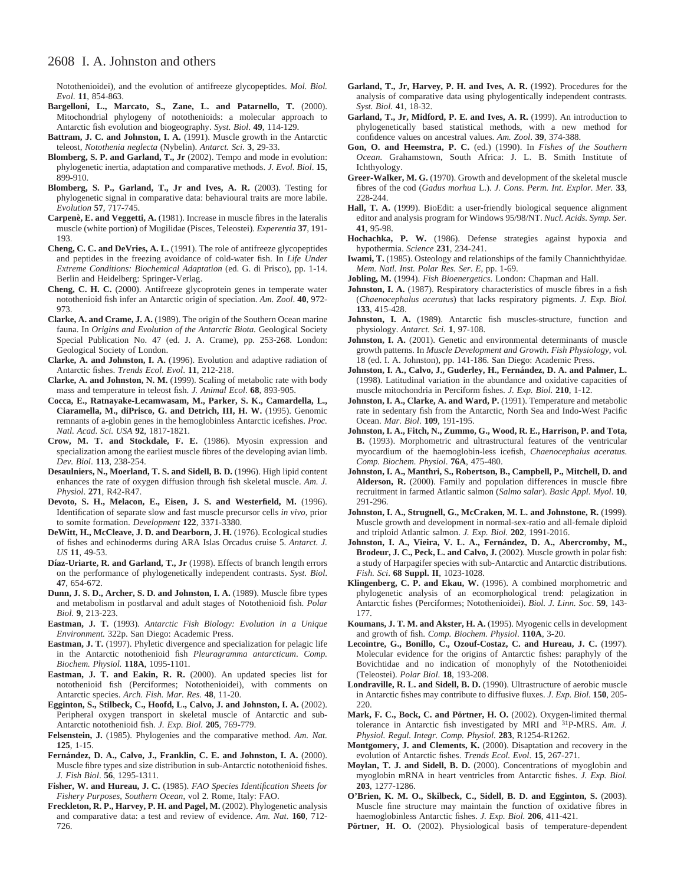# 2608 I. A. Johnston and others

Notothenioidei), and the evolution of antifreeze glycopeptides. *Mol. Biol. Evol*. **11**, 854-863.

- Bargelloni, L., Marcato, S., Zane, L. and Patarnello, T. (2000). Mitochondrial phylogeny of notothenioids: a molecular approach to Antarctic fish evolution and biogeography. *Syst. Biol*. **49**, 114-129.
- **Battram, J. C. and Johnston, I. A.** (1991). Muscle growth in the Antarctic teleost, *Notothenia neglecta* (Nybelin). *Antarct. Sci*. **3**, 29-33.
- **Blomberg, S. P. and Garland, T., Jr** (2002). Tempo and mode in evolution: phylogenetic inertia, adaptation and comparative methods. *J. Evol. Biol*. **15**, 899-910.
- **Blomberg, S. P., Garland, T., Jr and Ives, A. R.** (2003). Testing for phylogenetic signal in comparative data: behavioural traits are more labile. *Evolution* **57**, 717-745.
- **Carpenè, E. and Veggetti, A.** (1981). Increase in muscle fibres in the lateralis muscle (white portion) of Mugilidae (Pisces, Teleostei). *Experentia* **37**, 191- 193.
- **Cheng, C. C. and DeVries, A. L.** (1991). The role of antifreeze glycopeptides and peptides in the freezing avoidance of cold-water fish. In *Life Under Extreme Conditions: Biochemical Adaptation* (ed. G. di Prisco), pp. 1-14. Berlin and Heidelberg: Springer-Verlag.
- **Cheng, C. H. C.** (2000). Antifreeze glycoprotein genes in temperate water notothenioid fish infer an Antarctic origin of speciation. *Am. Zool*. **40**, 972- 973.
- **Clarke, A. and Crame, J. A.** (1989). The origin of the Southern Ocean marine fauna. In *Origins and Evolution of the Antarctic Biota*. Geological Society Special Publication No. 47 (ed. J. A. Crame), pp. 253-268. London: Geological Society of London.
- **Clarke, A. and Johnston, I. A.** (1996). Evolution and adaptive radiation of Antarctic fishes. *Trends Ecol. Evol*. **11**, 212-218.
- **Clarke, A. and Johnston, N. M.** (1999). Scaling of metabolic rate with body mass and temperature in teleost fish. *J. Animal Ecol*. **68**, 893-905.
- **Cocca, E., Ratnayake-Lecamwasam, M., Parker, S. K., Camardella, L., Ciaramella, M., diPrisco, G. and Detrich, III, H. W.** (1995). Genomic remnants of a-globin genes in the hemoglobinless Antarctic icefishes. *Proc. Natl. Acad. Sci. USA* **92**, 1817-1821.
- **Crow, M. T. and Stockdale, F. E.** (1986). Myosin expression and specialization among the earliest muscle fibres of the developing avian limb. *Dev. Biol*. **113**, 238-254.
- **Desaulniers, N., Moerland, T. S. and Sidell, B. D.** (1996). High lipid content enhances the rate of oxygen diffusion through fish skeletal muscle. *Am. J. Physiol*. **271**, R42-R47.
- **Devoto, S. H., Melacon, E., Eisen, J. S. and Westerfield, M.** (1996). Identification of separate slow and fast muscle precursor cells *in vivo*, prior to somite formation. *Development* **122**, 3371-3380.
- **DeWitt, H., McCleave, J. D. and Dearborn, J. H.** (1976). Ecological studies of fishes and echinoderms during ARA Islas Orcadus cruise 5. *Antarct. J. US* **11**, 49-53.
- **Díaz-Uriarte, R. and Garland, T., Jr** (1998). Effects of branch length errors on the performance of phylogenetically independent contrasts. *Syst. Biol*. **47**, 654-672.
- **Dunn, J. S. D., Archer, S. D. and Johnston, I. A.** (1989). Muscle fibre types and metabolism in postlarval and adult stages of Notothenioid fish. *Polar Biol*. **9**, 213-223.
- **Eastman, J. T.** (1993). *Antarctic Fish Biology: Evolution in a Unique Environment.* 322p. San Diego: Academic Press.
- **Eastman, J. T.** (1997). Phyletic divergence and specialization for pelagic life in the Antarctic notothenioid fish *Pleuragramma antarcticum*. *Comp. Biochem. Physiol.* **118A**, 1095-1101.
- **Eastman, J. T. and Eakin, R. R.** (2000). An updated species list for notothenioid fish (Perciformes; Notothenioidei), with comments on Antarctic species. *Arch. Fish. Mar. Res.* **48**, 11-20.
- **Egginton, S., Stilbeck, C., Hoofd, L., Calvo, J. and Johnston, I. A.** (2002). Peripheral oxygen transport in skeletal muscle of Antarctic and sub-Antarctic notothenioid fish. *J. Exp. Biol.* **205**, 769-779.
- **Felsenstein, J.** (1985). Phylogenies and the comparative method. *Am. Nat.* **125**, 1-15.
- **Fernández, D. A., Calvo, J., Franklin, C. E. and Johnston, I. A.** (2000). Muscle fibre types and size distribution in sub-Antarctic notothenioid fishes. *J. Fish Biol*. **56**, 1295-1311.
- **Fisher, W. and Hureau, J. C.** (1985). *FAO Species Identification Sheets for Fishery Purposes, Southern Ocean*, vol 2. Rome, Italy: FAO.
- Freckleton, R. P., Harvey, P. H. and Pagel, M. (2002). Phylogenetic analysis and comparative data: a test and review of evidence. *Am. Nat*. **160**, 712- 726.
- **Garland, T., Jr, Harvey, P. H. and Ives, A. R.** (1992). Procedures for the analysis of comparative data using phylogentically independent contrasts. *Syst. Biol.* **4**1, 18-32.
- **Garland, T., Jr, Midford, P. E. and Ives, A. R.** (1999). An introduction to phylogenetically based statistical methods, with a new method for confidence values on ancestral values. *Am. Zool*. **39**, 374-388.
- **Gon, O. and Heemstra, P. C.** (ed.) (1990). In *Fishes of the Southern Ocean.* Grahamstown, South Africa: J. L. B. Smith Institute of Ichthyology.
- **Greer-Walker, M. G.** (1970). Growth and development of the skeletal muscle fibres of the cod (*Gadus morhua* L.). *J. Cons. Perm. Int. Explor. Mer.* **33**, 228-244.
- **Hall, T. A.** (1999). BioEdit: a user-friendly biological sequence alignment editor and analysis program for Windows 95/98/NT. *Nucl. Acids. Symp. Ser.* **41**, 95-98.
- **Hochachka, P. W.** (1986). Defense strategies against hypoxia and hypothermia. *Science* **231**, 234-241.
- **Iwami, T.** (1985). Osteology and relationships of the family Channichthyidae. *Mem. Natl. Inst. Polar Res. Ser. E*, pp. 1-69.
- **Jobling, M.** (1994). *Fish Bioenergetics.* London: Chapman and Hall.
- Johnston, I. A. (1987). Respiratory characteristics of muscle fibres in a fish (*Chaenocephalus aceratus*) that lacks respiratory pigments. *J. Exp. Biol.* **133**, 415-428.
- Johnston, I. A. (1989). Antarctic fish muscles-structure, function and physiology. *Antarct. Sci.* **1**, 97-108.
- Johnston, I. A. (2001). Genetic and environmental determinants of muscle growth patterns. In *Muscle Development and Growth*. *Fish Physiology,* vol. 18 (ed. I. A. Johnston), pp. 141-186. San Diego: Academic Press.
- **Johnston, I. A., Calvo, J., Guderley, H., Fernández, D. A. and Palmer, L.** (1998). Latitudinal variation in the abundance and oxidative capacities of muscle mitochondria in Perciform fishes. *J. Exp. Biol.* **210**, 1-12.
- Johnston, I. A., Clarke, A. and Ward, P. (1991). Temperature and metabolic rate in sedentary fish from the Antarctic, North Sea and Indo-West Pacific Ocean. *Mar. Biol*. **109**, 191-195.
- **Johnston, I. A., Fitch, N., Zummo, G., Wood, R. E., Harrison, P. and Tota, B.** (1993). Morphometric and ultrastructural features of the ventricular myocardium of the haemoglobin-less icefish, *Chaenocephalus aceratus*. *Comp. Biochem. Physiol*. **76A**, 475-480.
- **Johnston, I. A., Manthri, S., Robertson, B., Campbell, P., Mitchell, D. and Alderson, R.** (2000). Family and population differences in muscle fibre recruitment in farmed Atlantic salmon (*Salmo salar*). *Basic Appl. Myol*. **10**, 291-296.
- **Johnston, I. A., Strugnell, G., McCraken, M. L. and Johnstone, R.** (1999). Muscle growth and development in normal-sex-ratio and all-female diploid and triploid Atlantic salmon. *J. Exp. Biol.* **202**, 1991-2016.
- **Johnston, I. A., Vieira, V. L. A., Fernández, D. A., Abercromby, M., Brodeur, J. C., Peck, L. and Calvo, J.** (2002). Muscle growth in polar fish: a study of Harpagifer species with sub-Antarctic and Antarctic distributions. *Fish. Sci*. **68 Suppl. II**, 1023-1028.
- **Klingenberg, C. P. and Ekau, W.** (1996). A combined morphometric and phylogenetic analysis of an ecomorphological trend: pelagization in Antarctic fishes (Perciformes; Notothenioidei). *Biol. J. Linn. Soc*. **59**, 143- 177.
- **Koumans, J. T. M. and Akster, H. A.** (1995). Myogenic cells in development and growth of fish. *Comp. Biochem. Physiol*. **110A**, 3-20.
- **Lecointre, G., Bonillo, C., Ozouf-Costaz, C. and Hureau, J. C.** (1997). Molecular evidence for the origins of Antarctic fishes: paraphyly of the Bovichtidae and no indication of monophyly of the Notothenioidei (Teleostei). *Polar Biol*. **18**, 193-208.
- **Londraville, R. L. and Sidell, B. D.** (1990). Ultrastructure of aerobic muscle in Antarctic fishes may contribute to diffusive fluxes. *J. Exp. Biol.* **150**, 205- 220.
- Mark, F. C., Bock, C. and Pörtner, H. O. (2002). Oxygen-limited thermal tolerance in Antarctic fish investigated by MRI and 31P-MRS. *Am. J. Physiol. Regul. Integr. Comp. Physiol.* **283**, R1254-R1262.
- **Montgomery, J. and Clements, K.** (2000). Disaptation and recovery in the evolution of Antarctic fishes. *Trends Ecol. Evol*. **15**, 267-271.
- **Moylan, T. J. and Sidell, B. D.** (2000). Concentrations of myoglobin and myoglobin mRNA in heart ventricles from Antarctic fishes. *J. Exp. Biol.* **203**, 1277-1286.
- **O'Brien, K. M. O., Skilbeck, C., Sidell, B. D. and Egginton, S.** (2003). Muscle fine structure may maintain the function of oxidative fibres in haemoglobinless Antarctic fishes. *J. Exp. Biol.* **206**, 411-421.
- Pörtner, H. O. (2002). Physiological basis of temperature-dependent